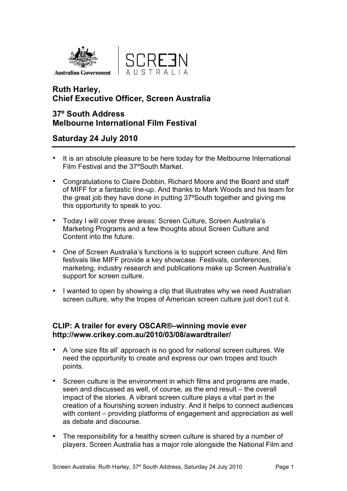



# **Ruth Harley, Chief Executive Officer, Screen Australia**

### **37º South Address Melbourne International Film Festival**

# **Saturday 24 July 2010**

- It is an absolute pleasure to be here today for the Melbourne International Film Festival and the 37ºSouth Market.
- Congratulations to Claire Dobbin, Richard Moore and the Board and staff of MIFF for a fantastic line-up. And thanks to Mark Woods and his team for the great job they have done in putting 37ºSouth together and giving me this opportunity to speak to you.
- Today I will cover three areas: Screen Culture, Screen Australia's Marketing Programs and a few thoughts about Screen Culture and Content into the future.
- One of Screen Australia's functions is to support screen culture. And film festivals like MIFF provide a key showcase. Festivals, conferences, marketing, industry research and publications make up Screen Australia's support for screen culture.
- I wanted to open by showing a clip that illustrates why we need Australian screen culture, why the tropes of American screen culture just don't cut it.

#### **CLIP: A trailer for every OSCAR®–winning movie ever http://www.crikey.com.au/2010/03/08/awardtrailer/**

- A 'one size fits all' approach is no good for national screen cultures. We need the opportunity to create and express our own tropes and touch points.
- Screen culture is the environment in which films and programs are made, seen and discussed as well, of course, as the end result – the overall impact of the stories. A vibrant screen culture plays a vital part in the creation of a flourishing screen industry. And it helps to connect audiences with content – providing platforms of engagement and appreciation as well as debate and discourse.
- The responsibility for a healthy screen culture is shared by a number of players. Screen Australia has a major role alongside the National Film and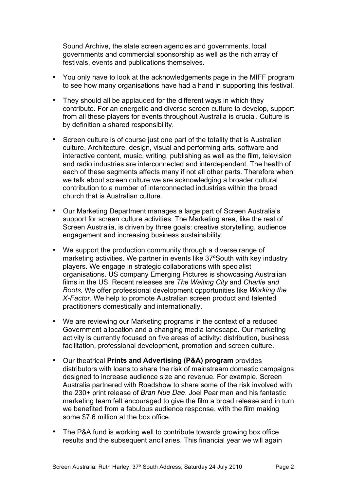Sound Archive, the state screen agencies and governments, local governments and commercial sponsorship as well as the rich array of festivals, events and publications themselves.

- You only have to look at the acknowledgements page in the MIFF program to see how many organisations have had a hand in supporting this festival.
- They should all be applauded for the different ways in which they contribute. For an energetic and diverse screen culture to develop, support from all these players for events throughout Australia is crucial. Culture is by definition a shared responsibility.
- Screen culture is of course just one part of the totality that is Australian culture. Architecture, design, visual and performing arts, software and interactive content, music, writing, publishing as well as the film, television and radio industries are interconnected and interdependent. The health of each of these segments affects many if not all other parts. Therefore when we talk about screen culture we are acknowledging a broader cultural contribution to a number of interconnected industries within the broad church that is Australian culture.
- Our Marketing Department manages a large part of Screen Australia's support for screen culture activities. The Marketing area, like the rest of Screen Australia, is driven by three goals: creative storytelling, audience engagement and increasing business sustainability.
- We support the production community through a diverse range of marketing activities. We partner in events like 37ºSouth with key industry players. We engage in strategic collaborations with specialist organisations. US company Emerging Pictures is showcasing Australian films in the US. Recent releases are *The Waiting City* and *Charlie and Boots*. We offer professional development opportunities like *Working the X-Factor*. We help to promote Australian screen product and talented practitioners domestically and internationally.
- We are reviewing our Marketing programs in the context of a reduced Government allocation and a changing media landscape. Our marketing activity is currently focused on five areas of activity: distribution, business facilitation, professional development, promotion and screen culture.
- Our theatrical **Prints and Advertising (P&A) program** provides distributors with loans to share the risk of mainstream domestic campaigns designed to increase audience size and revenue. For example, Screen Australia partnered with Roadshow to share some of the risk involved with the 230+ print release of *Bran Nue Dae*. Joel Pearlman and his fantastic marketing team felt encouraged to give the film a broad release and in turn we benefited from a fabulous audience response, with the film making some \$7.6 million at the box office.
- The P&A fund is working well to contribute towards growing box office results and the subsequent ancillaries. This financial year we will again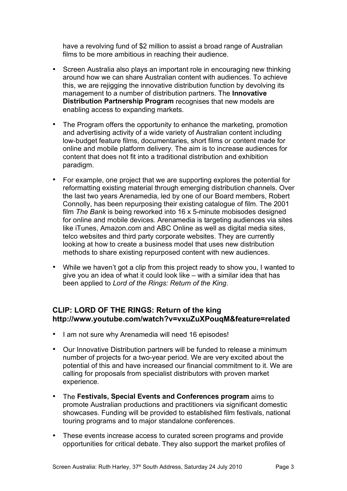have a revolving fund of \$2 million to assist a broad range of Australian films to be more ambitious in reaching their audience.

- Screen Australia also plays an important role in encouraging new thinking around how we can share Australian content with audiences. To achieve this, we are rejigging the innovative distribution function by devolving its management to a number of distribution partners. The **Innovative Distribution Partnership Program** recognises that new models are enabling access to expanding markets.
- The Program offers the opportunity to enhance the marketing, promotion and advertising activity of a wide variety of Australian content including low-budget feature films, documentaries, short films or content made for online and mobile platform delivery. The aim is to increase audiences for content that does not fit into a traditional distribution and exhibition paradigm.
- For example, one project that we are supporting explores the potential for reformatting existing material through emerging distribution channels. Over the last two years Arenamedia, led by one of our Board members, Robert Connolly, has been repurposing their existing catalogue of film. The 2001 film *The Bank* is being reworked into 16 x 5-minute mobisodes designed for online and mobile devices. Arenamedia is targeting audiences via sites like iTunes, Amazon.com and ABC Online as well as digital media sites, telco websites and third party corporate websites. They are currently looking at how to create a business model that uses new distribution methods to share existing repurposed content with new audiences.
- While we haven't got a clip from this project ready to show you, I wanted to give you an idea of what it could look like – with a similar idea that has been applied to *Lord of the Rings: Return of the King*.

#### **CLIP: LORD OF THE RINGS: Return of the king http://www.youtube.com/watch?v=vxuZuXPouqM&feature=related**

- I am not sure why Arenamedia will need 16 episodes!
- Our Innovative Distribution partners will be funded to release a minimum number of projects for a two-year period. We are very excited about the potential of this and have increased our financial commitment to it. We are calling for proposals from specialist distributors with proven market experience.
- The **Festivals, Special Events and Conferences program** aims to promote Australian productions and practitioners via significant domestic showcases. Funding will be provided to established film festivals, national touring programs and to major standalone conferences.
- These events increase access to curated screen programs and provide opportunities for critical debate. They also support the market profiles of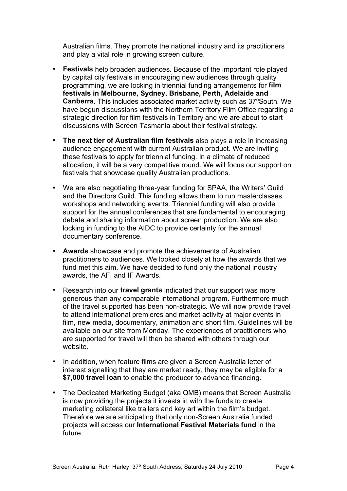Australian films. They promote the national industry and its practitioners and play a vital role in growing screen culture.

- **Festivals** help broaden audiences. Because of the important role played by capital city festivals in encouraging new audiences through quality programming, we are locking in triennial funding arrangements for **film festivals in Melbourne, Sydney, Brisbane, Perth, Adelaide and Canberra**. This includes associated market activity such as 37ºSouth. We have begun discussions with the Northern Territory Film Office regarding a strategic direction for film festivals in Territory and we are about to start discussions with Screen Tasmania about their festival strategy.
- **The next tier of Australian film festivals** also plays a role in increasing audience engagement with current Australian product. We are inviting these festivals to apply for triennial funding. In a climate of reduced allocation, it will be a very competitive round. We will focus our support on festivals that showcase quality Australian productions.
- We are also negotiating three-year funding for SPAA, the Writers' Guild and the Directors Guild. This funding allows them to run masterclasses, workshops and networking events. Triennial funding will also provide support for the annual conferences that are fundamental to encouraging debate and sharing information about screen production. We are also locking in funding to the AIDC to provide certainty for the annual documentary conference.
- **Awards** showcase and promote the achievements of Australian practitioners to audiences. We looked closely at how the awards that we fund met this aim. We have decided to fund only the national industry awards, the AFI and IF Awards.
- Research into our **travel grants** indicated that our support was more generous than any comparable international program. Furthermore much of the travel supported has been non-strategic. We will now provide travel to attend international premieres and market activity at major events in film, new media, documentary, animation and short film. Guidelines will be available on our site from Monday. The experiences of practitioners who are supported for travel will then be shared with others through our website.
- In addition, when feature films are given a Screen Australia letter of interest signalling that they are market ready, they may be eligible for a **\$7,000 travel loan** to enable the producer to advance financing.
- The Dedicated Marketing Budget (aka QMB) means that Screen Australia is now providing the projects it invests in with the funds to create marketing collateral like trailers and key art within the film's budget. Therefore we are anticipating that only non-Screen Australia funded projects will access our **International Festival Materials fund** in the future.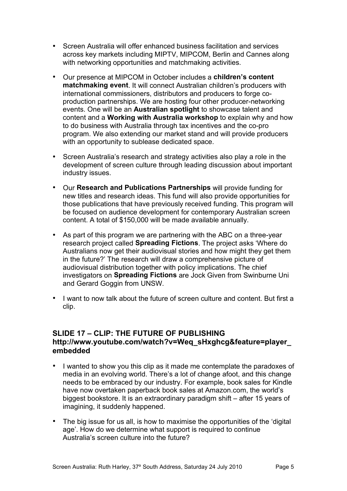- Screen Australia will offer enhanced business facilitation and services across key markets including MIPTV, MIPCOM, Berlin and Cannes along with networking opportunities and matchmaking activities.
- Our presence at MIPCOM in October includes a **children's content matchmaking event**. It will connect Australian children's producers with international commissioners, distributors and producers to forge coproduction partnerships. We are hosting four other producer-networking events. One will be an **Australian spotlight** to showcase talent and content and a **Working with Australia workshop** to explain why and how to do business with Australia through tax incentives and the co-pro program. We also extending our market stand and will provide producers with an opportunity to sublease dedicated space.
- Screen Australia's research and strategy activities also play a role in the development of screen culture through leading discussion about important industry issues.
- Our **Research and Publications Partnerships** will provide funding for new titles and research ideas. This fund will also provide opportunities for those publications that have previously received funding. This program will be focused on audience development for contemporary Australian screen content. A total of \$150,000 will be made available annually.
- As part of this program we are partnering with the ABC on a three-year research project called **Spreading Fictions**. The project asks 'Where do Australians now get their audiovisual stories and how might they get them in the future?' The research will draw a comprehensive picture of audiovisual distribution together with policy implications. The chief investigators on **Spreading Fictions** are Jock Given from Swinburne Uni and Gerard Goggin from UNSW.
- I want to now talk about the future of screen culture and content. But first a clip.

### **SLIDE 17 – CLIP: THE FUTURE OF PUBLISHING http://www.youtube.com/watch?v=Weq\_sHxghcg&feature=player\_ embedded**

- I wanted to show you this clip as it made me contemplate the paradoxes of media in an evolving world. There's a lot of change afoot, and this change needs to be embraced by our industry. For example, book sales for Kindle have now overtaken paperback book sales at Amazon.com, the world's biggest bookstore. It is an extraordinary paradigm shift – after 15 years of imagining, it suddenly happened.
- The big issue for us all, is how to maximise the opportunities of the 'digital age'. How do we determine what support is required to continue Australia's screen culture into the future?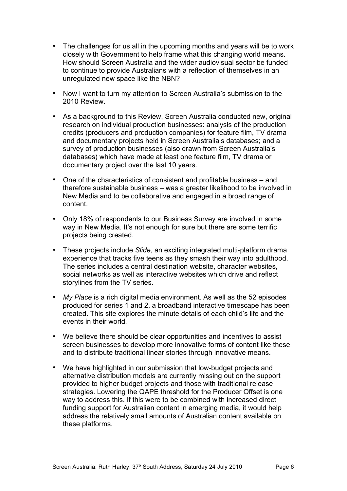- The challenges for us all in the upcoming months and years will be to work closely with Government to help frame what this changing world means. How should Screen Australia and the wider audiovisual sector be funded to continue to provide Australians with a reflection of themselves in an unregulated new space like the NBN?
- Now I want to turn my attention to Screen Australia's submission to the 2010 Review.
- As a background to this Review, Screen Australia conducted new, original research on individual production businesses: analysis of the production credits (producers and production companies) for feature film, TV drama and documentary projects held in Screen Australia's databases; and a survey of production businesses (also drawn from Screen Australia's databases) which have made at least one feature film, TV drama or documentary project over the last 10 years.
- One of the characteristics of consistent and profitable business and therefore sustainable business – was a greater likelihood to be involved in New Media and to be collaborative and engaged in a broad range of content.
- Only 18% of respondents to our Business Survey are involved in some way in New Media. It's not enough for sure but there are some terrific projects being created.
- These projects include *Slide*, an exciting integrated multi-platform drama experience that tracks five teens as they smash their way into adulthood. The series includes a central destination website, character websites, social networks as well as interactive websites which drive and reflect storylines from the TV series.
- *My Place* is a rich digital media environment. As well as the 52 episodes produced for series 1 and 2, a broadband interactive timescape has been created. This site explores the minute details of each child's life and the events in their world.
- We believe there should be clear opportunities and incentives to assist screen businesses to develop more innovative forms of content like these and to distribute traditional linear stories through innovative means.
- We have highlighted in our submission that low-budget projects and alternative distribution models are currently missing out on the support provided to higher budget projects and those with traditional release strategies. Lowering the QAPE threshold for the Producer Offset is one way to address this. If this were to be combined with increased direct funding support for Australian content in emerging media, it would help address the relatively small amounts of Australian content available on these platforms.